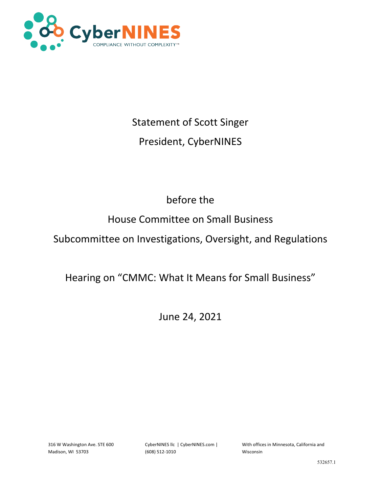

# Statement of Scott Singer

# President, CyberNINES

# before the

# House Committee on Small Business

# Subcommittee on Investigations, Oversight, and Regulations

# Hearing on "CMMC: What It Means for Small Business"

June 24, 2021

316 W Washington Ave. STE 600 Madison, WI 53703

CyberNINES llc | CyberNINES.com | (608) 512-1010

With offices in Minnesota, California and Wisconsin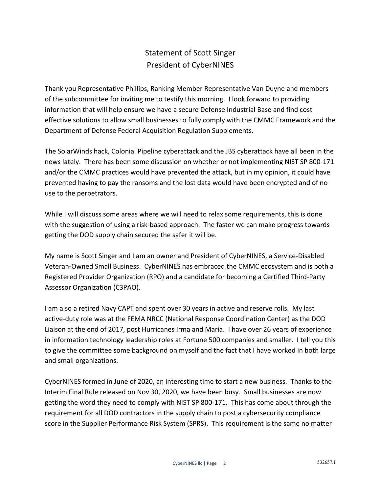### Statement of Scott Singer President of CyberNINES

Thank you Representative Phillips, Ranking Member Representative Van Duyne and members of the subcommittee for inviting me to testify this morning. I look forward to providing information that will help ensure we have a secure Defense Industrial Base and find cost effective solutions to allow small businesses to fully comply with the CMMC Framework and the Department of Defense Federal Acquisition Regulation Supplements.

The SolarWinds hack, Colonial Pipeline cyberattack and the JBS cyberattack have all been in the news lately. There has been some discussion on whether or not implementing NIST SP 800-171 and/or the CMMC practices would have prevented the attack, but in my opinion, it could have prevented having to pay the ransoms and the lost data would have been encrypted and of no use to the perpetrators.

While I will discuss some areas where we will need to relax some requirements, this is done with the suggestion of using a risk-based approach. The faster we can make progress towards getting the DOD supply chain secured the safer it will be.

My name is Scott Singer and I am an owner and President of CyberNINES, a Service-Disabled Veteran-Owned Small Business. CyberNINES has embraced the CMMC ecosystem and is both a Registered Provider Organization (RPO) and a candidate for becoming a Certified Third-Party Assessor Organization (C3PAO).

I am also a retired Navy CAPT and spent over 30 years in active and reserve rolls. My last active-duty role was at the FEMA NRCC (National Response Coordination Center) as the DOD Liaison at the end of 2017, post Hurricanes Irma and Maria. I have over 26 years of experience in information technology leadership roles at Fortune 500 companies and smaller. I tell you this to give the committee some background on myself and the fact that I have worked in both large and small organizations.

CyberNINES formed in June of 2020, an interesting time to start a new business. Thanks to the Interim Final Rule released on Nov 30, 2020, we have been busy. Small businesses are now getting the word they need to comply with NIST SP 800-171. This has come about through the requirement for all DOD contractors in the supply chain to post a cybersecurity compliance score in the Supplier Performance Risk System (SPRS). This requirement is the same no matter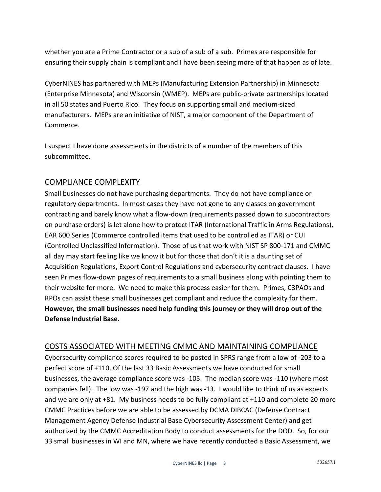whether you are a Prime Contractor or a sub of a sub of a sub. Primes are responsible for ensuring their supply chain is compliant and I have been seeing more of that happen as of late.

CyberNINES has partnered with MEPs (Manufacturing Extension Partnership) in Minnesota (Enterprise Minnesota) and Wisconsin (WMEP). MEPs are public-private partnerships located in all 50 states and Puerto Rico. They focus on supporting small and medium-sized manufacturers. MEPs are an initiative of NIST, a major component of the Department of Commerce.

I suspect I have done assessments in the districts of a number of the members of this subcommittee.

#### COMPLIANCE COMPLEXITY

Small businesses do not have purchasing departments. They do not have compliance or regulatory departments. In most cases they have not gone to any classes on government contracting and barely know what a flow-down (requirements passed down to subcontractors on purchase orders) is let alone how to protect ITAR (International Traffic in Arms Regulations), EAR 600 Series (Commerce controlled items that used to be controlled as ITAR) or CUI (Controlled Unclassified Information). Those of us that work with NIST SP 800-171 and CMMC all day may start feeling like we know it but for those that don't it is a daunting set of Acquisition Regulations, Export Control Regulations and cybersecurity contract clauses. I have seen Primes flow-down pages of requirements to a small business along with pointing them to their website for more. We need to make this process easier for them. Primes, C3PAOs and RPOs can assist these small businesses get compliant and reduce the complexity for them. **However, the small businesses need help funding this journey or they will drop out of the Defense Industrial Base.**

#### COSTS ASSOCIATED WITH MEETING CMMC AND MAINTAINING COMPLIANCE

Cybersecurity compliance scores required to be posted in SPRS range from a low of -203 to a perfect score of +110. Of the last 33 Basic Assessments we have conducted for small businesses, the average compliance score was -105. The median score was -110 (where most companies fell). The low was -197 and the high was -13. I would like to think of us as experts and we are only at +81. My business needs to be fully compliant at +110 and complete 20 more CMMC Practices before we are able to be assessed by DCMA DIBCAC (Defense Contract Management Agency Defense Industrial Base Cybersecurity Assessment Center) and get authorized by the CMMC Accreditation Body to conduct assessments for the DOD. So, for our 33 small businesses in WI and MN, where we have recently conducted a Basic Assessment, we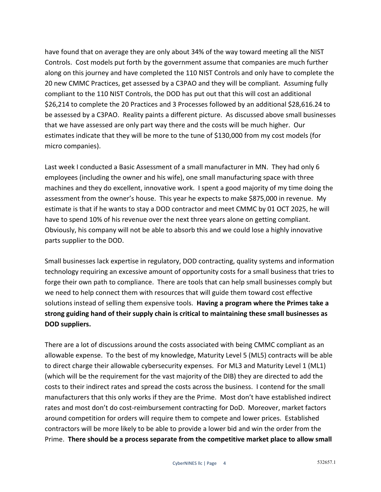have found that on average they are only about 34% of the way toward meeting all the NIST Controls. Cost models put forth by the government assume that companies are much further along on this journey and have completed the 110 NIST Controls and only have to complete the 20 new CMMC Practices, get assessed by a C3PAO and they will be compliant. Assuming fully compliant to the 110 NIST Controls, the DOD has put out that this will cost an additional \$26,214 to complete the 20 Practices and 3 Processes followed by an additional \$28,616.24 to be assessed by a C3PAO. Reality paints a different picture. As discussed above small businesses that we have assessed are only part way there and the costs will be much higher. Our estimates indicate that they will be more to the tune of \$130,000 from my cost models (for micro companies).

Last week I conducted a Basic Assessment of a small manufacturer in MN. They had only 6 employees (including the owner and his wife), one small manufacturing space with three machines and they do excellent, innovative work. I spent a good majority of my time doing the assessment from the owner's house. This year he expects to make \$875,000 in revenue. My estimate is that if he wants to stay a DOD contractor and meet CMMC by 01 OCT 2025, he will have to spend 10% of his revenue over the next three years alone on getting compliant. Obviously, his company will not be able to absorb this and we could lose a highly innovative parts supplier to the DOD.

Small businesses lack expertise in regulatory, DOD contracting, quality systems and information technology requiring an excessive amount of opportunity costs for a small business that tries to forge their own path to compliance. There are tools that can help small businesses comply but we need to help connect them with resources that will guide them toward cost effective solutions instead of selling them expensive tools. **Having a program where the Primes take a strong guiding hand of their supply chain is critical to maintaining these small businesses as DOD suppliers.**

There are a lot of discussions around the costs associated with being CMMC compliant as an allowable expense. To the best of my knowledge, Maturity Level 5 (ML5) contracts will be able to direct charge their allowable cybersecurity expenses. For ML3 and Maturity Level 1 (ML1) (which will be the requirement for the vast majority of the DIB) they are directed to add the costs to their indirect rates and spread the costs across the business. I contend for the small manufacturers that this only works if they are the Prime. Most don't have established indirect rates and most don't do cost-reimbursement contracting for DoD. Moreover, market factors around competition for orders will require them to compete and lower prices. Established contractors will be more likely to be able to provide a lower bid and win the order from the Prime. **There should be a process separate from the competitive market place to allow small**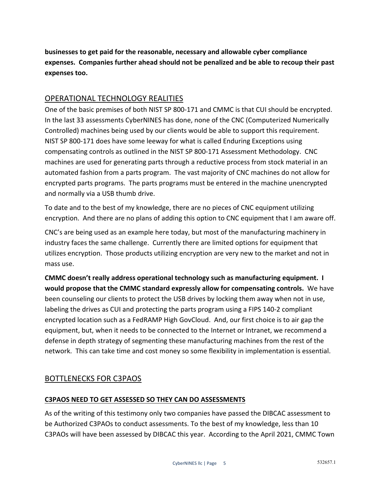**businesses to get paid for the reasonable, necessary and allowable cyber compliance expenses. Companies further ahead should not be penalized and be able to recoup their past expenses too.**

#### OPERATIONAL TECHNOLOGY REALITIES

One of the basic premises of both NIST SP 800-171 and CMMC is that CUI should be encrypted. In the last 33 assessments CyberNINES has done, none of the CNC (Computerized Numerically Controlled) machines being used by our clients would be able to support this requirement. NIST SP 800-171 does have some leeway for what is called Enduring Exceptions using compensating controls as outlined in the NIST SP 800-171 Assessment Methodology. CNC machines are used for generating parts through a reductive process from stock material in an automated fashion from a parts program. The vast majority of CNC machines do not allow for encrypted parts programs. The parts programs must be entered in the machine unencrypted and normally via a USB thumb drive.

To date and to the best of my knowledge, there are no pieces of CNC equipment utilizing encryption. And there are no plans of adding this option to CNC equipment that I am aware off.

CNC's are being used as an example here today, but most of the manufacturing machinery in industry faces the same challenge. Currently there are limited options for equipment that utilizes encryption. Those products utilizing encryption are very new to the market and not in mass use.

**CMMC doesn't really address operational technology such as manufacturing equipment. I would propose that the CMMC standard expressly allow for compensating controls.** We have been counseling our clients to protect the USB drives by locking them away when not in use, labeling the drives as CUI and protecting the parts program using a FIPS 140-2 compliant encrypted location such as a FedRAMP High GovCloud. And, our first choice is to air gap the equipment, but, when it needs to be connected to the Internet or Intranet, we recommend a defense in depth strategy of segmenting these manufacturing machines from the rest of the network. This can take time and cost money so some flexibility in implementation is essential.

#### BOTTLENECKS FOR C3PAOS

#### **C3PAOS NEED TO GET ASSESSED SO THEY CAN DO ASSESSMENTS**

As of the writing of this testimony only two companies have passed the DIBCAC assessment to be Authorized C3PAOs to conduct assessments. To the best of my knowledge, less than 10 C3PAOs will have been assessed by DIBCAC this year. According to the April 2021, CMMC Town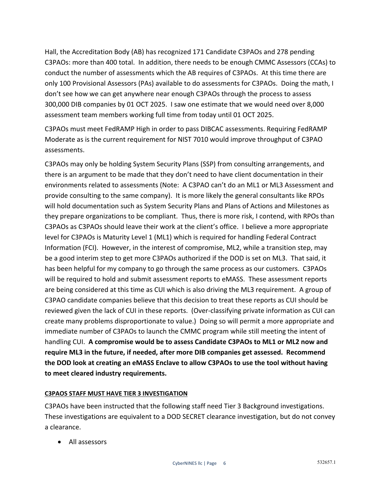Hall, the Accreditation Body (AB) has recognized 171 Candidate C3PAOs and 278 pending C3PAOs: more than 400 total. In addition, there needs to be enough CMMC Assessors (CCAs) to conduct the number of assessments which the AB requires of C3PAOs. At this time there are only 100 Provisional Assessors (PAs) available to do assessments for C3PAOs. Doing the math, I don't see how we can get anywhere near enough C3PAOs through the process to assess 300,000 DIB companies by 01 OCT 2025. I saw one estimate that we would need over 8,000 assessment team members working full time from today until 01 OCT 2025.

C3PAOs must meet FedRAMP High in order to pass DIBCAC assessments. Requiring FedRAMP Moderate as is the current requirement for NIST 7010 would improve throughput of C3PAO assessments.

C3PAOs may only be holding System Security Plans (SSP) from consulting arrangements, and there is an argument to be made that they don't need to have client documentation in their environments related to assessments (Note: A C3PAO can't do an ML1 or ML3 Assessment and provide consulting to the same company). It is more likely the general consultants like RPOs will hold documentation such as System Security Plans and Plans of Actions and Milestones as they prepare organizations to be compliant. Thus, there is more risk, I contend, with RPOs than C3PAOs as C3PAOs should leave their work at the client's office. I believe a more appropriate level for C3PAOs is Maturity Level 1 (ML1) which is required for handling Federal Contract Information (FCI). However, in the interest of compromise, ML2, while a transition step, may be a good interim step to get more C3PAOs authorized if the DOD is set on ML3. That said, it has been helpful for my company to go through the same process as our customers. C3PAOs will be required to hold and submit assessment reports to eMASS. These assessment reports are being considered at this time as CUI which is also driving the ML3 requirement. A group of C3PAO candidate companies believe that this decision to treat these reports as CUI should be reviewed given the lack of CUI in these reports. (Over-classifying private information as CUI can create many problems disproportionate to value.) Doing so will permit a more appropriate and immediate number of C3PAOs to launch the CMMC program while still meeting the intent of handling CUI. **A compromise would be to assess Candidate C3PAOs to ML1 or ML2 now and require ML3 in the future, if needed, after more DIB companies get assessed. Recommend the DOD look at creating an eMASS Enclave to allow C3PAOs to use the tool without having to meet cleared industry requirements.**

#### **C3PAOS STAFF MUST HAVE TIER 3 INVESTIGATION**

C3PAOs have been instructed that the following staff need Tier 3 Background investigations. These investigations are equivalent to a DOD SECRET clearance investigation, but do not convey a clearance.

• All assessors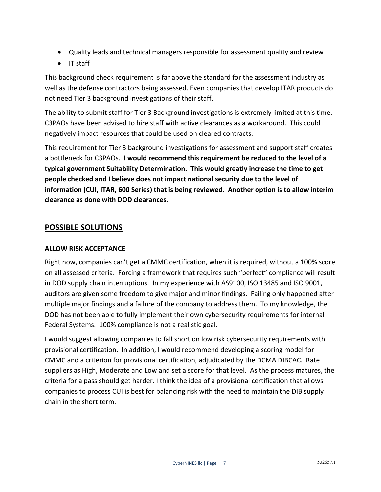- Quality leads and technical managers responsible for assessment quality and review
- IT staff

This background check requirement is far above the standard for the assessment industry as well as the defense contractors being assessed. Even companies that develop ITAR products do not need Tier 3 background investigations of their staff.

The ability to submit staff for Tier 3 Background investigations is extremely limited at this time. C3PAOs have been advised to hire staff with active clearances as a workaround. This could negatively impact resources that could be used on cleared contracts.

This requirement for Tier 3 background investigations for assessment and support staff creates a bottleneck for C3PAOs. **I would recommend this requirement be reduced to the level of a typical government Suitability Determination. This would greatly increase the time to get people checked and I believe does not impact national security due to the level of information (CUI, ITAR, 600 Series) that is being reviewed. Another option is to allow interim clearance as done with DOD clearances.**

#### **POSSIBLE SOLUTIONS**

#### **ALLOW RISK ACCEPTANCE**

Right now, companies can't get a CMMC certification, when it is required, without a 100% score on all assessed criteria. Forcing a framework that requires such "perfect" compliance will result in DOD supply chain interruptions. In my experience with AS9100, ISO 13485 and ISO 9001, auditors are given some freedom to give major and minor findings. Failing only happened after multiple major findings and a failure of the company to address them. To my knowledge, the DOD has not been able to fully implement their own cybersecurity requirements for internal Federal Systems. 100% compliance is not a realistic goal.

I would suggest allowing companies to fall short on low risk cybersecurity requirements with provisional certification. In addition, I would recommend developing a scoring model for CMMC and a criterion for provisional certification, adjudicated by the DCMA DIBCAC. Rate suppliers as High, Moderate and Low and set a score for that level. As the process matures, the criteria for a pass should get harder. I think the idea of a provisional certification that allows companies to process CUI is best for balancing risk with the need to maintain the DIB supply chain in the short term.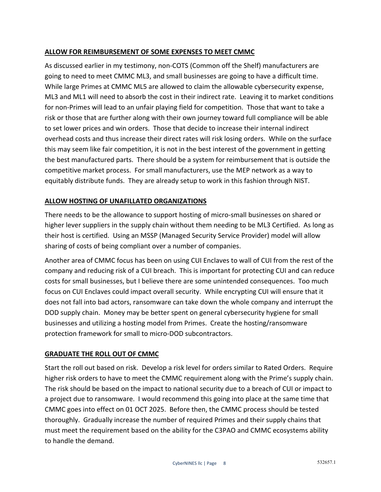#### **ALLOW FOR REIMBURSEMENT OF SOME EXPENSES TO MEET CMMC**

As discussed earlier in my testimony, non-COTS (Common off the Shelf) manufacturers are going to need to meet CMMC ML3, and small businesses are going to have a difficult time. While large Primes at CMMC ML5 are allowed to claim the allowable cybersecurity expense, ML3 and ML1 will need to absorb the cost in their indirect rate. Leaving it to market conditions for non-Primes will lead to an unfair playing field for competition. Those that want to take a risk or those that are further along with their own journey toward full compliance will be able to set lower prices and win orders. Those that decide to increase their internal indirect overhead costs and thus increase their direct rates will risk losing orders. While on the surface this may seem like fair competition, it is not in the best interest of the government in getting the best manufactured parts. There should be a system for reimbursement that is outside the competitive market process. For small manufacturers, use the MEP network as a way to equitably distribute funds. They are already setup to work in this fashion through NIST.

#### **ALLOW HOSTING OF UNAFILLATED ORGANIZATIONS**

There needs to be the allowance to support hosting of micro-small businesses on shared or higher lever suppliers in the supply chain without them needing to be ML3 Certified. As long as their host is certified. Using an MSSP (Managed Security Service Provider) model will allow sharing of costs of being compliant over a number of companies.

Another area of CMMC focus has been on using CUI Enclaves to wall of CUI from the rest of the company and reducing risk of a CUI breach. This is important for protecting CUI and can reduce costs for small businesses, but I believe there are some unintended consequences. Too much focus on CUI Enclaves could impact overall security. While encrypting CUI will ensure that it does not fall into bad actors, ransomware can take down the whole company and interrupt the DOD supply chain. Money may be better spent on general cybersecurity hygiene for small businesses and utilizing a hosting model from Primes. Create the hosting/ransomware protection framework for small to micro-DOD subcontractors.

#### **GRADUATE THE ROLL OUT OF CMMC**

Start the roll out based on risk. Develop a risk level for orders similar to Rated Orders. Require higher risk orders to have to meet the CMMC requirement along with the Prime's supply chain. The risk should be based on the impact to national security due to a breach of CUI or impact to a project due to ransomware. I would recommend this going into place at the same time that CMMC goes into effect on 01 OCT 2025. Before then, the CMMC process should be tested thoroughly. Gradually increase the number of required Primes and their supply chains that must meet the requirement based on the ability for the C3PAO and CMMC ecosystems ability to handle the demand.